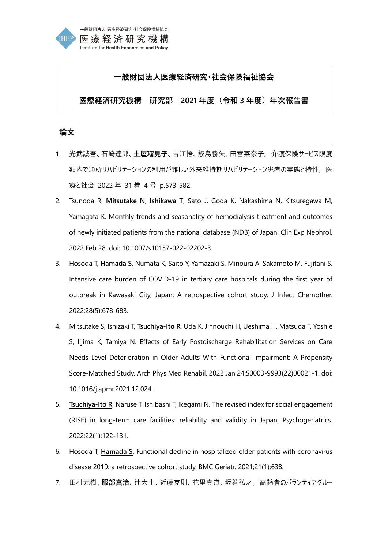

# **一般財団法人医療経済研究・社会保険福祉協会**

**医療経済研究機構 研究部 2021 年度(令和 3 年度)年次報告書**

## **論文**

- 1. 光武誠吾、石崎達郎、**土屋瑠見子**、吉江悟、飯島勝矢、田宮菜奈子.介護保険サービス限度 額内で通所リハビリテーションの利用が難しい外来維持期リハビリテーション患者の実態と特性. 医 療と社会 2022 年 31 巻 4 号 p.573-582.
- 2. Tsunoda R, **Mitsutake N**, **Ishikawa T**, Sato J, Goda K, Nakashima N, Kitsuregawa M, Yamagata K. Monthly trends and seasonality of hemodialysis treatment and outcomes of newly initiated patients from the national database (NDB) of Japan. Clin Exp Nephrol. 2022 Feb 28. doi: 10.1007/s10157-022-02202-3.
- 3. Hosoda T, **Hamada S**, Numata K, Saito Y, Yamazaki S, Minoura A, Sakamoto M, Fujitani S. Intensive care burden of COVID-19 in tertiary care hospitals during the first year of outbreak in Kawasaki City, Japan: A retrospective cohort study. J Infect Chemother. 2022;28(5):678-683.
- 4. Mitsutake S, Ishizaki T, **Tsuchiya-Ito R**, Uda K, Jinnouchi H, Ueshima H, Matsuda T, Yoshie S, Iijima K, Tamiya N. Effects of Early Postdischarge Rehabilitation Services on Care Needs-Level Deterioration in Older Adults With Functional Impairment: A Propensity Score-Matched Study. Arch Phys Med Rehabil. 2022 Jan 24:S0003-9993(22)00021-1. doi: 10.1016/j.apmr.2021.12.024.
- 5. **Tsuchiya-Ito R**, Naruse T, Ishibashi T, Ikegami N. The revised index for social engagement (RISE) in long-term care facilities: reliability and validity in Japan. Psychogeriatrics. 2022;22(1):122-131.
- 6. Hosoda T, **Hamada S**. Functional decline in hospitalized older patients with coronavirus disease 2019: a retrospective cohort study. BMC Geriatr. 2021;21(1):638.
- 7. 田村元樹、**服部真治**、辻大士、近藤克則、花里真道、坂巻弘之.高齢者のボランティアグルー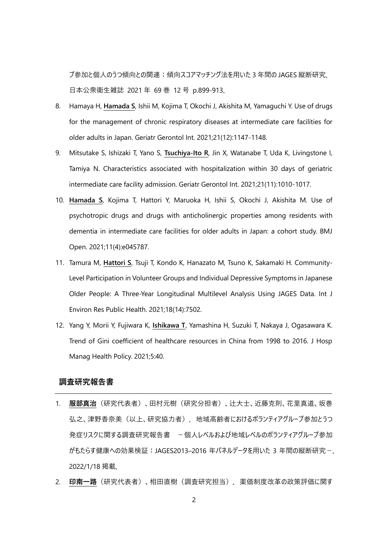プ参加と個人のうつ傾向との関連:傾向スコアマッチング法を用いた 3 年間の JAGES 縦断研究. 日本公衆衛生雑誌 2021 年 69 巻 12 号 p.899-913.

- 8. Hamaya H, **Hamada S**, Ishii M, Kojima T, Okochi J, Akishita M, Yamaguchi Y. Use of drugs for the management of chronic respiratory diseases at intermediate care facilities for older adults in Japan. Geriatr Gerontol Int. 2021;21(12):1147-1148.
- 9. Mitsutake S, Ishizaki T, Yano S, **Tsuchiya-Ito R**, Jin X, Watanabe T, Uda K, Livingstone I, Tamiya N. Characteristics associated with hospitalization within 30 days of geriatric intermediate care facility admission. Geriatr Gerontol Int. 2021;21(11):1010-1017.
- 10. **Hamada S**, Kojima T, Hattori Y, Maruoka H, Ishii S, Okochi J, Akishita M. Use of psychotropic drugs and drugs with anticholinergic properties among residents with dementia in intermediate care facilities for older adults in Japan: a cohort study. BMJ Open. 2021;11(4):e045787.
- 11. Tamura M, **Hattori S**, Tsuji T, Kondo K, Hanazato M, Tsuno K, Sakamaki H. Community-Level Participation in Volunteer Groups and Individual Depressive Symptoms in Japanese Older People: A Three-Year Longitudinal Multilevel Analysis Using JAGES Data. Int J Environ Res Public Health. 2021;18(14):7502.
- 12. Yang Y, Morii Y, Fujiwara K, **Ishikawa T**, Yamashina H, Suzuki T, Nakaya J, Ogasawara K. Trend of Gini coefficient of healthcare resources in China from 1998 to 2016. J Hosp Manag Health Policy. 2021;5:40.

## **調査研究報告書**

- 1. **服部真治**(研究代表者)、田村元樹(研究分担者)、辻大士、近藤克則、花里真道、坂巻 弘之、津野香奈美(以上、研究協力者). 地域高齢者におけるボランティアグループ参加とうつ 発症リスクに関する調査研究報告書 -個人レベルおよび地域レベルのボランティアグループ参加 がもたらす健康への効果検証:JAGES2013–2016 年パネルデータを用いた 3 年間の縦断研究-. 2022/1/18 掲載.
- 2. **印南一路**(研究代表者)、相田直樹(調査研究担当).薬価制度改革の政策評価に関す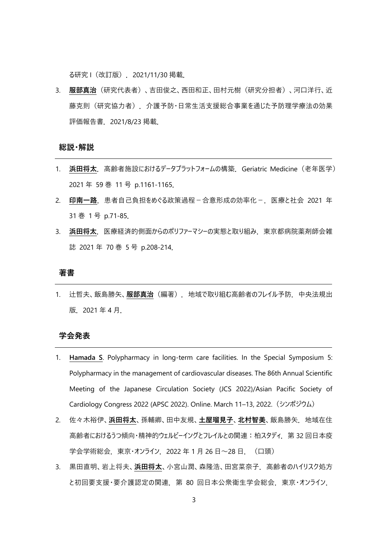る研究 I(改訂版).2021/11/30 掲載.

3. **服部真治**(研究代表者)、吉田俊之、西田和正、田村元樹(研究分担者)、河口洋行、近 藤克則(研究協力者).介護予防・日常生活支援総合事業を通じた予防理学療法の効果 評価報告書.2021/8/23 掲載.

#### **総説・解説**

- 1. 浜田将太. 高齢者施設におけるデータプラットフォームの構築. Geriatric Medicine (老年医学) 2021 年 59 巻 11 号 p.1161-1165.
- 2. 印南一路. 患者自己負担をめぐる政策過程-合意形成の効率化-. 医療と社会 2021 年 31 巻 1 号 p.71-85.
- 3. 浜田将太. 医療経済的側面からのポリファーマシーの実態と取り組み. 東京都病院薬剤師会雑 誌 2021 年 70 巻 5 号 p.208-214.

#### **著書**

1. 辻哲夫、飯島勝矢、**服部真治**(編著).地域で取り組む高齢者のフレイル予防.中央法規出 版.2021 年 4 月.

### **学会発表**

- 1. **Hamada S**. Polypharmacy in long-term care facilities. In the Special Symposium 5: Polypharmacy in the management of cardiovascular diseases. The 86th Annual Scientific Meeting of the Japanese Circulation Society (JCS 2022)/Asian Pacific Society of Cardiology Congress 2022 (APSC 2022). Online. March 11–13, 2022.(シンポジウム)
- 2. 佐々木裕伊、**浜田将太**、孫輔卿、田中友規、**土屋瑠見子**、**北村智美**、飯島勝矢.地域在住 高齢者におけるうつ傾向・精神的ウェルビーイングとフレイルとの関連: 柏スタディ. 第 32 回日本疫 学会学術総会. 東京・オンライン. 2022 年 1 月 26 日~28 日. (口頭)
- 3. 黒田直明、岩上将夫、**浜田将太**、小宮山潤、森隆浩、田宮菜奈子.高齢者のハイリスク処方 と初回要支援・要介護認定の関連. 第 80 回日本公衆衛生学会総会. 東京・オンライン.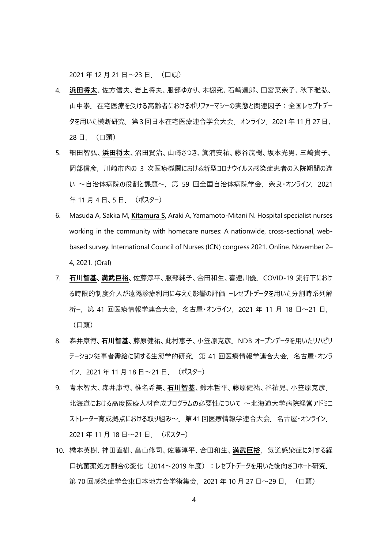2021年12月21日~23日. (口頭)

- 4. **浜田将太**、佐方信夫、岩上将夫、服部ゆかり、木棚究、石崎達郎、田宮菜奈子、秋下雅弘、 山中崇. 在宅医療を受ける高齢者におけるポリファーマシーの実態と関連因子:全国レセプトデー タを用いた横断研究.第 3回日本在宅医療連合学会大会.オンライン.2021 年 11月 27日、 28 日.(口頭)
- 5. 細田智弘、**浜田将太**、沼田賢治、山﨑さつき、箕浦安祐、藤谷茂樹、坂本光男、三﨑貴子、 岡部信彦.川崎市内の 3 次医療機関における新型コロナウイルス感染症患者の入院期間の違 い ~自治体病院の役割と課題~. 第 59 回全国自治体病院学会. 奈良・オンライン. 2021 年 11 月 4 日、5 日. (ポスター)
- 6. Masuda A, Sakka M, **Kitamura S**, Araki A, Yamamoto-Mitani N. Hospital specialist nurses working in the community with homecare nurses: A nationwide, cross-sectional, webbased survey. International Council of Nurses (ICN) congress 2021. Online. November 2– 4, 2021. (Oral)
- 7. **石川智基**、**満武巨裕**、佐藤淳平、服部純子、合田和生、喜連川優.COVID-19 流行下におけ る時限的制度介入が遠隔診療利用に与えた影響の評価 ーレセプトデータを用いた分割時系列解 析ー.第 41 回医療情報学連合大会.名古屋・オンライン.2021 年 11 月 18 日~21 日. (口頭)
- 8. 森井康博、**石川智基**、藤原健祐、此村恵子、小笠原克彦.NDB オープンデータを用いたリハビリ テーション従事者需給に関する生態学的研究. 第 41 回医療情報学連合大会. 名古屋・オンラ イン. 2021 年 11 月 18 日~21 日. (ポスター)
- 9. 青木智大、森井康博、椎名希美、**石川智基**、鈴木哲平、藤原健祐、谷祐児、小笠原克彦. 北海道における高度医療人材育成プログラムの必要性について ~北海道大学病院経営アドミニ ストレーター育成拠点における取り組み~ 第41回医療情報学連合大会 名古屋・オンライン 2021年11月18日~21日. (ポスター)
- 10. 橋本英樹、神田直樹、畠山修司、佐藤淳平、合田和生、**満武巨裕**.気道感染症に対する経 口抗菌薬処方割合の変化(2014~2019年度):レセプトデータを用いた後向きコホート研究. 第 70 回感染症学会東日本地方会学術集会. 2021 年 10 月 27 日~29 日. (口頭)